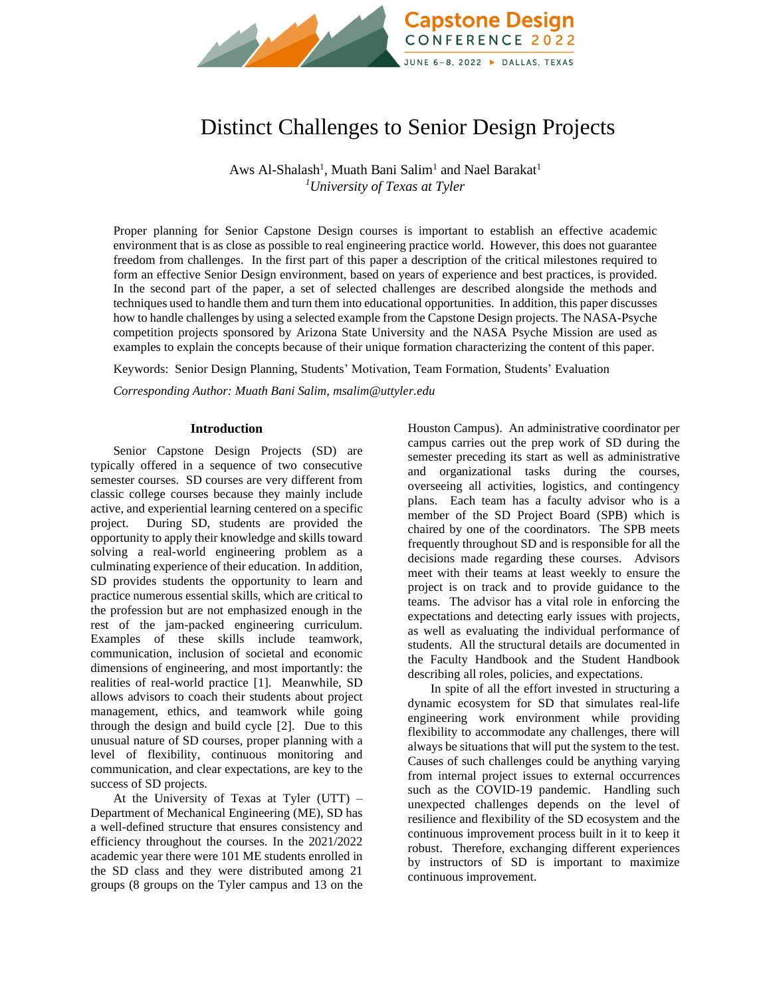

# Distinct Challenges to Senior Design Projects

Aws Al-Shalash<sup>1</sup>, Muath Bani Salim<sup>1</sup> and Nael Barakat<sup>1</sup> *<sup>1</sup>University of Texas at Tyler*

Proper planning for Senior Capstone Design courses is important to establish an effective academic environment that is as close as possible to real engineering practice world. However, this does not guarantee freedom from challenges. In the first part of this paper a description of the critical milestones required to form an effective Senior Design environment, based on years of experience and best practices, is provided. In the second part of the paper, a set of selected challenges are described alongside the methods and techniques used to handle them and turn them into educational opportunities. In addition, this paper discusses how to handle challenges by using a selected example from the Capstone Design projects. The NASA-Psyche competition projects sponsored by Arizona State University and the NASA Psyche Mission are used as examples to explain the concepts because of their unique formation characterizing the content of this paper.

Keywords:Senior Design Planning, Students' Motivation, Team Formation, Students' Evaluation

*Corresponding Author: Muath Bani Salim, msalim@uttyler.edu*

### **Introduction**

Senior Capstone Design Projects (SD) are typically offered in a sequence of two consecutive semester courses. SD courses are very different from classic college courses because they mainly include active, and experiential learning centered on a specific project. During SD, students are provided the opportunity to apply their knowledge and skills toward solving a real-world engineering problem as a culminating experience of their education. In addition, SD provides students the opportunity to learn and practice numerous essential skills, which are critical to the profession but are not emphasized enough in the rest of the jam-packed engineering curriculum. Examples of these skills include teamwork, communication, inclusion of societal and economic dimensions of engineering, and most importantly: the realities of real-world practice [1]. Meanwhile, SD allows advisors to coach their students about project management, ethics, and teamwork while going through the design and build cycle [2]. Due to this unusual nature of SD courses, proper planning with a level of flexibility, continuous monitoring and communication, and clear expectations, are key to the success of SD projects.

At the University of Texas at Tyler (UTT) – Department of Mechanical Engineering (ME), SD has a well-defined structure that ensures consistency and efficiency throughout the courses. In the 2021/2022 academic year there were 101 ME students enrolled in the SD class and they were distributed among 21 groups (8 groups on the Tyler campus and 13 on the Houston Campus). An administrative coordinator per campus carries out the prep work of SD during the semester preceding its start as well as administrative and organizational tasks during the courses, overseeing all activities, logistics, and contingency plans. Each team has a faculty advisor who is a member of the SD Project Board (SPB) which is chaired by one of the coordinators. The SPB meets frequently throughout SD and is responsible for all the decisions made regarding these courses. Advisors meet with their teams at least weekly to ensure the project is on track and to provide guidance to the teams. The advisor has a vital role in enforcing the expectations and detecting early issues with projects, as well as evaluating the individual performance of students. All the structural details are documented in the Faculty Handbook and the Student Handbook describing all roles, policies, and expectations.

In spite of all the effort invested in structuring a dynamic ecosystem for SD that simulates real-life engineering work environment while providing flexibility to accommodate any challenges, there will always be situations that will put the system to the test. Causes of such challenges could be anything varying from internal project issues to external occurrences such as the COVID-19 pandemic. Handling such unexpected challenges depends on the level of resilience and flexibility of the SD ecosystem and the continuous improvement process built in it to keep it robust. Therefore, exchanging different experiences by instructors of SD is important to maximize continuous improvement.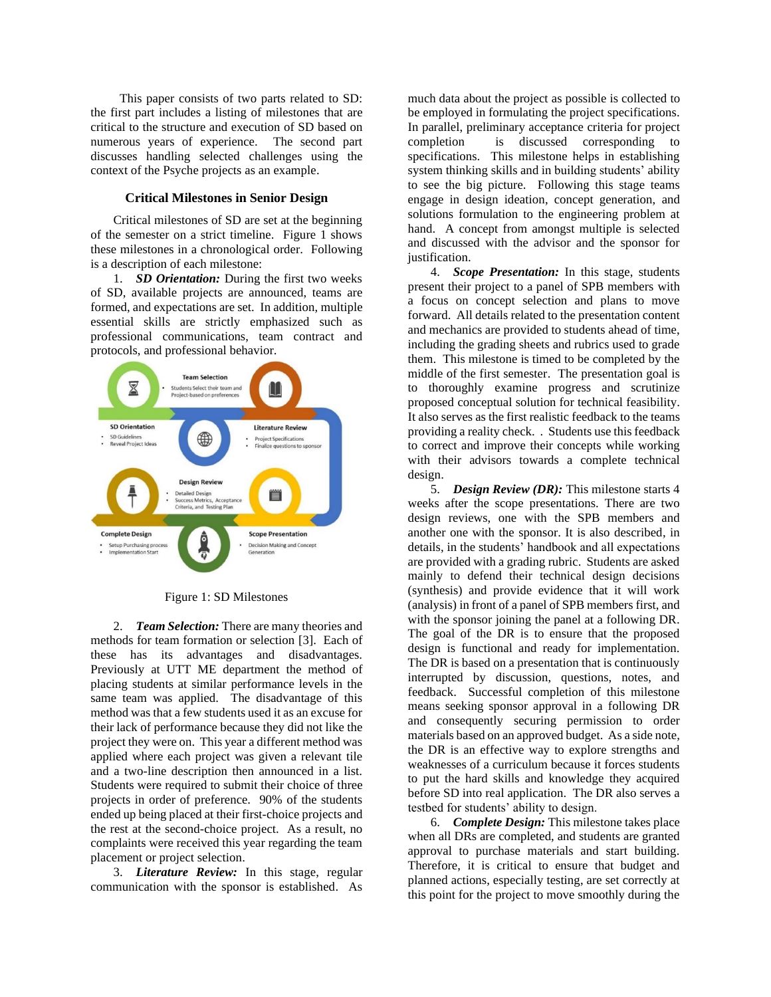This paper consists of two parts related to SD: the first part includes a listing of milestones that are critical to the structure and execution of SD based on numerous years of experience. The second part discusses handling selected challenges using the context of the Psyche projects as an example.

### **Critical Milestones in Senior Design**

Critical milestones of SD are set at the beginning of the semester on a strict timeline. Figure 1 shows these milestones in a chronological order. Following is a description of each milestone:

1. *SD Orientation:* During the first two weeks of SD, available projects are announced, teams are formed, and expectations are set. In addition, multiple essential skills are strictly emphasized such as professional communications, team contract and protocols, and professional behavior.



Figure 1: SD Milestones

2. *Team Selection:* There are many theories and methods for team formation or selection [3]. Each of these has its advantages and disadvantages. Previously at UTT ME department the method of placing students at similar performance levels in the same team was applied. The disadvantage of this method was that a few students used it as an excuse for their lack of performance because they did not like the project they were on. This year a different method was applied where each project was given a relevant tile and a two-line description then announced in a list. Students were required to submit their choice of three projects in order of preference. 90% of the students ended up being placed at their first-choice projects and the rest at the second-choice project. As a result, no complaints were received this year regarding the team placement or project selection.

3. *Literature Review:* In this stage, regular communication with the sponsor is established. As

much data about the project as possible is collected to be employed in formulating the project specifications. In parallel, preliminary acceptance criteria for project completion is discussed corresponding to specifications. This milestone helps in establishing system thinking skills and in building students' ability to see the big picture. Following this stage teams engage in design ideation, concept generation, and solutions formulation to the engineering problem at hand. A concept from amongst multiple is selected and discussed with the advisor and the sponsor for justification.

4. *Scope Presentation:* In this stage, students present their project to a panel of SPB members with a focus on concept selection and plans to move forward. All details related to the presentation content and mechanics are provided to students ahead of time, including the grading sheets and rubrics used to grade them. This milestone is timed to be completed by the middle of the first semester. The presentation goal is to thoroughly examine progress and scrutinize proposed conceptual solution for technical feasibility. It also serves as the first realistic feedback to the teams providing a reality check. . Students use this feedback to correct and improve their concepts while working with their advisors towards a complete technical design.

5. *Design Review (DR):* This milestone starts 4 weeks after the scope presentations. There are two design reviews, one with the SPB members and another one with the sponsor. It is also described, in details, in the students' handbook and all expectations are provided with a grading rubric. Students are asked mainly to defend their technical design decisions (synthesis) and provide evidence that it will work (analysis) in front of a panel of SPB members first, and with the sponsor joining the panel at a following DR. The goal of the DR is to ensure that the proposed design is functional and ready for implementation. The DR is based on a presentation that is continuously interrupted by discussion, questions, notes, and feedback. Successful completion of this milestone means seeking sponsor approval in a following DR and consequently securing permission to order materials based on an approved budget. As a side note, the DR is an effective way to explore strengths and weaknesses of a curriculum because it forces students to put the hard skills and knowledge they acquired before SD into real application. The DR also serves a testbed for students' ability to design.

6. *Complete Design:* This milestone takes place when all DRs are completed, and students are granted approval to purchase materials and start building. Therefore, it is critical to ensure that budget and planned actions, especially testing, are set correctly at this point for the project to move smoothly during the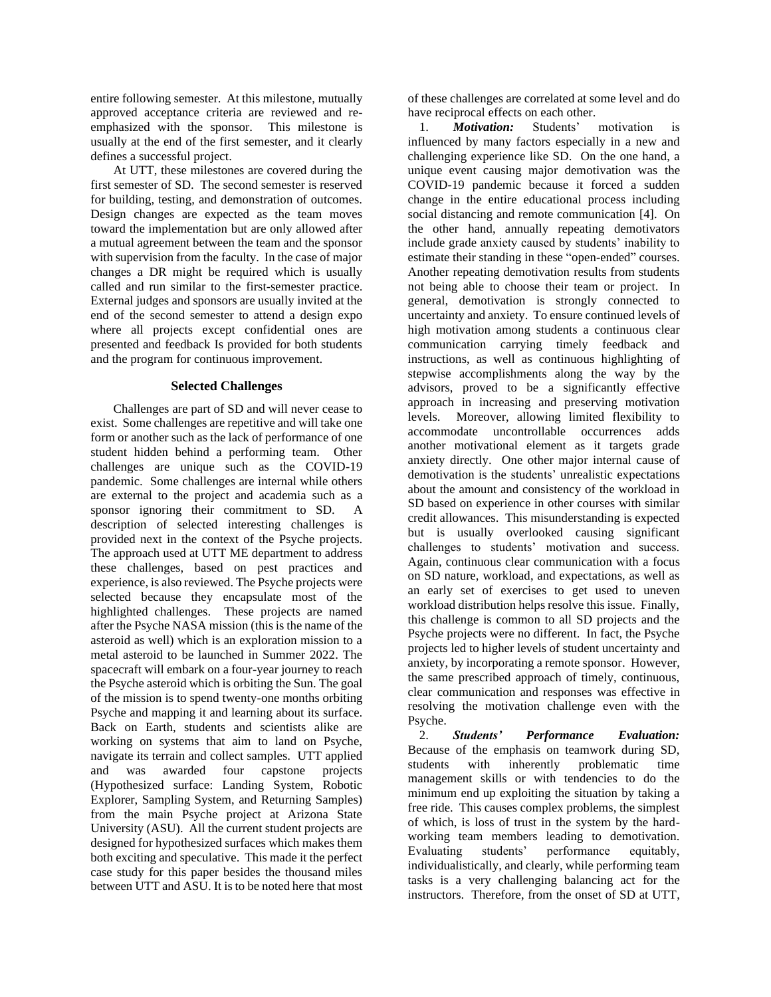entire following semester. At this milestone, mutually approved acceptance criteria are reviewed and reemphasized with the sponsor. This milestone is usually at the end of the first semester, and it clearly defines a successful project.

At UTT, these milestones are covered during the first semester of SD. The second semester is reserved for building, testing, and demonstration of outcomes. Design changes are expected as the team moves toward the implementation but are only allowed after a mutual agreement between the team and the sponsor with supervision from the faculty. In the case of major changes a DR might be required which is usually called and run similar to the first-semester practice. External judges and sponsors are usually invited at the end of the second semester to attend a design expo where all projects except confidential ones are presented and feedback Is provided for both students and the program for continuous improvement.

# **Selected Challenges**

Challenges are part of SD and will never cease to exist. Some challenges are repetitive and will take one form or another such as the lack of performance of one student hidden behind a performing team. Other challenges are unique such as the COVID-19 pandemic. Some challenges are internal while others are external to the project and academia such as a sponsor ignoring their commitment to SD. A description of selected interesting challenges is provided next in the context of the Psyche projects. The approach used at UTT ME department to address these challenges, based on pest practices and experience, is also reviewed. The Psyche projects were selected because they encapsulate most of the highlighted challenges. These projects are named after the Psyche NASA mission (this is the name of the asteroid as well) which is an exploration mission to a metal asteroid to be launched in Summer 2022. The spacecraft will embark on a four-year journey to reach the Psyche asteroid which is orbiting the Sun. The goal of the mission is to spend twenty-one months orbiting Psyche and mapping it and learning about its surface. Back on Earth, students and scientists alike are working on systems that aim to land on Psyche, navigate its terrain and collect samples. UTT applied and was awarded four capstone projects (Hypothesized surface: Landing System, Robotic Explorer, Sampling System, and Returning Samples) from the main Psyche project at Arizona State University (ASU). All the current student projects are designed for hypothesized surfaces which makes them both exciting and speculative. This made it the perfect case study for this paper besides the thousand miles between UTT and ASU. It is to be noted here that most

of these challenges are correlated at some level and do

have reciprocal effects on each other.<br>1. **Motivation:** Students' 1. *Motivation:* Students' motivation is influenced by many factors especially in a new and challenging experience like SD. On the one hand, a unique event causing major demotivation was the COVID-19 pandemic because it forced a sudden change in the entire educational process including social distancing and remote communication [4]. On the other hand, annually repeating demotivators include grade anxiety caused by students' inability to estimate their standing in these "open-ended" courses. Another repeating demotivation results from students not being able to choose their team or project. In general, demotivation is strongly connected to uncertainty and anxiety. To ensure continued levels of high motivation among students a continuous clear communication carrying timely feedback and instructions, as well as continuous highlighting of stepwise accomplishments along the way by the advisors, proved to be a significantly effective approach in increasing and preserving motivation levels. Moreover, allowing limited flexibility to accommodate uncontrollable occurrences adds another motivational element as it targets grade anxiety directly. One other major internal cause of demotivation is the students' unrealistic expectations about the amount and consistency of the workload in SD based on experience in other courses with similar credit allowances. This misunderstanding is expected but is usually overlooked causing significant challenges to students' motivation and success. Again, continuous clear communication with a focus on SD nature, workload, and expectations, as well as an early set of exercises to get used to uneven workload distribution helps resolve this issue. Finally, this challenge is common to all SD projects and the Psyche projects were no different. In fact, the Psyche projects led to higher levels of student uncertainty and anxiety, by incorporating a remote sponsor. However, the same prescribed approach of timely, continuous, clear communication and responses was effective in resolving the motivation challenge even with the Psyche.

2. *Students' Performance Evaluation:*  Because of the emphasis on teamwork during SD, students with inherently problematic time management skills or with tendencies to do the minimum end up exploiting the situation by taking a free ride. This causes complex problems, the simplest of which, is loss of trust in the system by the hardworking team members leading to demotivation. Evaluating students' performance equitably, individualistically, and clearly, while performing team tasks is a very challenging balancing act for the instructors. Therefore, from the onset of SD at UTT,